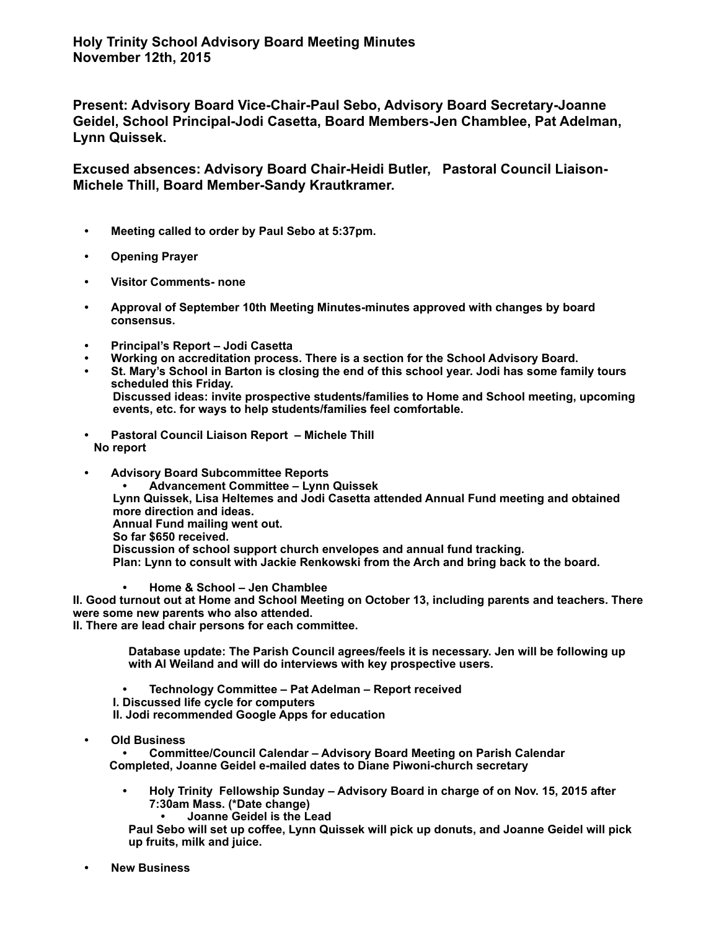**Present: Advisory Board Vice-Chair-Paul Sebo, Advisory Board Secretary-Joanne Geidel, School Principal-Jodi Casetta, Board Members-Jen Chamblee, Pat Adelman, Lynn Quissek.** 

**Excused absences: Advisory Board Chair-Heidi Butler, Pastoral Council Liaison-Michele Thill, Board Member-Sandy Krautkramer.** 

- **Meeting called to order by Paul Sebo at 5:37pm.**
- **Opening Prayer**
- **Visitor Comments- none**
- **Approval of September 10th Meeting Minutes-minutes approved with changes by board consensus.**
- **Principal's Report Jodi Casetta**
- **Working on accreditation process. There is a section for the School Advisory Board.**
- **St. Mary's School in Barton is closing the end of this school year. Jodi has some family tours scheduled this Friday. Discussed ideas: invite prospective students/families to Home and School meeting, upcoming events, etc. for ways to help students/families feel comfortable.**
- **Pastoral Council Liaison Report Michele Thill No report**
- **Advisory Board Subcommittee Reports • Advancement Committee – Lynn Quissek Lynn Quissek, Lisa Heltemes and Jodi Casetta attended Annual Fund meeting and obtained more direction and ideas. Annual Fund mailing went out. So far \$650 received. Discussion of school support church envelopes and annual fund tracking. Plan: Lynn to consult with Jackie Renkowski from the Arch and bring back to the board.** 
	- **Home & School Jen Chamblee**

**II. Good turnout out at Home and School Meeting on October 13, including parents and teachers. There were some new parents who also attended.** 

**II. There are lead chair persons for each committee.** 

**Database update: The Parish Council agrees/feels it is necessary. Jen will be following up with Al Weiland and will do interviews with key prospective users.** 

**• Technology Committee – Pat Adelman – Report received I. Discussed life cycle for computers II. Jodi recommended Google Apps for education**

**• Old Business**

**• Committee/Council Calendar – Advisory Board Meeting on Parish Calendar Completed, Joanne Geidel e-mailed dates to Diane Piwoni-church secretary**

**• Holy Trinity Fellowship Sunday – Advisory Board in charge of on Nov. 15, 2015 after 7:30am Mass. (\*Date change)**

**• Joanne Geidel is the Lead** 

**Paul Sebo will set up coffee, Lynn Quissek will pick up donuts, and Joanne Geidel will pick up fruits, milk and juice.**

**• New Business**